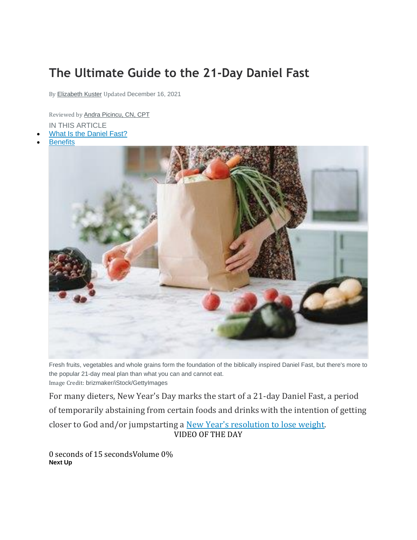## **The Ultimate Guide to the 21-Day Daniel Fast**

By Elizabeth Kuster Updated December 16, 2021

Reviewed by Andra Picincu, CN, CPT

IN THIS ARTICLE

- What Is the [Daniel](https://www.livestrong.com/article/347609-information-on-the-21-day-daniel-fast/#what-is-the-daniel-fast) Fast?
- **[Benefits](https://www.livestrong.com/article/347609-information-on-the-21-day-daniel-fast/#what-are-the-benefits-of-the-daniel-fast)**



Fresh fruits, vegetables and whole grains form the foundation of the biblically inspired Daniel Fast, but there's more to the popular 21-day meal plan than what you can and cannot eat. Image Credit: brizmaker/iStock/GettyImages

For many dieters, New Year's Day marks the start of a 21-day Daniel Fast, a period of temporarily abstaining from certain foods and drinks with the intention of getting closer to God and/or jumpstarting a New Year's [resolution](https://www.livestrong.com/article/13730815-easy-healthy-new-years-resolutions/) to lose weight. VIDEO OF THE DAY

0 seconds of 15 secondsVolume 0% **Next Up**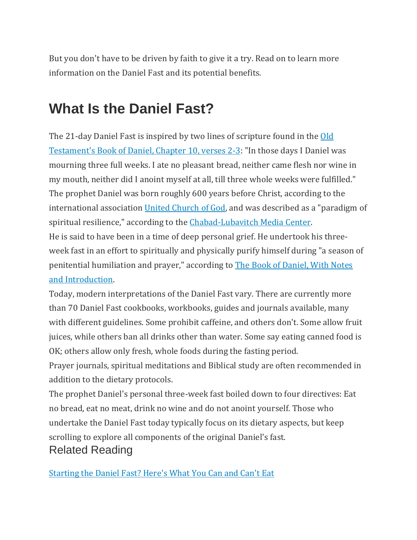But you don't have to be driven by faith to give it a try. Read on to learn more information on the Daniel Fast and its potential benefits.

# **What Is the Daniel Fast?**

The 21-day Daniel Fast is inspired by two lines of scripture found in the [Old](https://www.kingjamesbibleonline.org/Daniel-Chapter-10/) [Testament's](https://www.kingjamesbibleonline.org/Daniel-Chapter-10/) Book of Daniel, Chapter 10, verses 2-3: "In those days I Daniel was mourning three full weeks. I ate no pleasant bread, neither came flesh nor wine in my mouth, neither did I anoint myself at all, till three whole weeks were fulfilled." The prophet Daniel was born roughly 600 years before Christ, according to the international association United [Church](https://bible.ucg.org/bible-commentary/2-Kings/Nebuchadnezzar-invades-Judah-and-makes-Jehoiakim-his-vassal;-Daniel,-Hananiah,-Mishael-and-Azariah-taken-to-Babylon/) of God, and was described as a "paradigm of spiritual resilience," according to the [Chabad-Lubavitch](https://www.chabad.org/library/article_cdo/aid/3630049/jewish/Daniel-the-Prophet-of-the-Bible-His-Life-and-Accomplishments.htm#Spiritual) Media Center. He is said to have been in a time of deep personal grief. He undertook his threeweek fast in an effort to spiritually and physically purify himself during "a season of penitential humiliation and prayer," according to The Book of [Daniel,](https://books.google.com/books?id=pfE-YKz0cYEC&printsec=frontcover&source=gbs_ge_summary_r&cad=0#v=onepage&q&f=false) With Notes and [Introduction.](https://books.google.com/books?id=pfE-YKz0cYEC&printsec=frontcover&source=gbs_ge_summary_r&cad=0#v=onepage&q&f=false)

Today, modern interpretations of the Daniel Fast vary. There are currently more than 70 Daniel Fast cookbooks, workbooks, guides and journals available, many with different guidelines. Some prohibit caffeine, and others don't. Some allow fruit juices, while others ban all drinks other than water. Some say eating canned food is OK; others allow only fresh, whole foods during the fasting period.

Prayer journals, spiritual meditations and Biblical study are often recommended in addition to the dietary protocols.

The prophet Daniel's personal three-week fast boiled down to four directives: Eat no bread, eat no meat, drink no wine and do not anoint yourself. Those who undertake the Daniel Fast today typically focus on its dietary aspects, but keep scrolling to explore all components of the original Daniel's fast.

Related Reading

[Starting](https://www.livestrong.com/article/339947-things-that-you-can-can-not-eat-on-the-daniel-fast/) the Daniel Fast? Here's What You Can and Can't Eat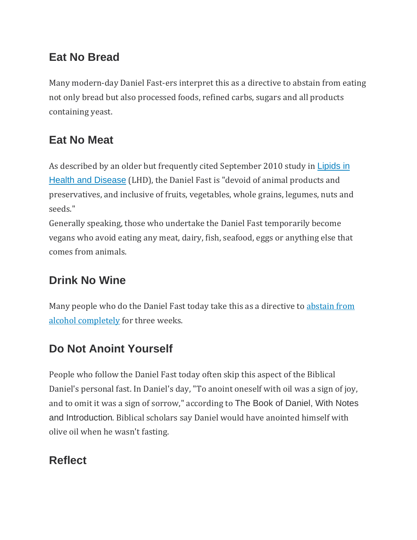### **Eat No Bread**

Many modern-day Daniel Fast-ers interpret this as a directive to abstain from eating not only bread but also processed foods, refined carbs, sugars and all products containing yeast.

## **Eat No Meat**

As described by an older but frequently cited September 2010 study in [Lipids](https://www.ncbi.nlm.nih.gov/pmc/articles/PMC2941756/) i[n](https://www.ncbi.nlm.nih.gov/pmc/articles/PMC2941756/) Health and [Disease](https://www.ncbi.nlm.nih.gov/pmc/articles/PMC2941756/) (LHD), the Daniel Fast is "devoid of animal products and preservatives, and inclusive of fruits, vegetables, whole grains, legumes, nuts and seeds."

Generally speaking, those who undertake the Daniel Fast temporarily become vegans who avoid eating any meat, dairy, fish, seafood, eggs or anything else that comes from animals.

## **Drink No Wine**

Many people who do the Daniel Fast today take this as a directive to [abstain](https://www.livestrong.com/article/13723797-effects-of-alcohol/) from alcohol [completely](https://www.livestrong.com/article/13723797-effects-of-alcohol/) for three weeks.

### **Do Not Anoint Yourself**

People who follow the Daniel Fast today often skip this aspect of the Biblical Daniel's personal fast. In Daniel's day, "To anoint oneself with oil was a sign of joy, and to omit it was a sign of sorrow," according to The Book of Daniel, With Notes and Introduction. Biblical scholars say Daniel would have anointed himself with olive oil when he wasn't fasting.

## **Reflect**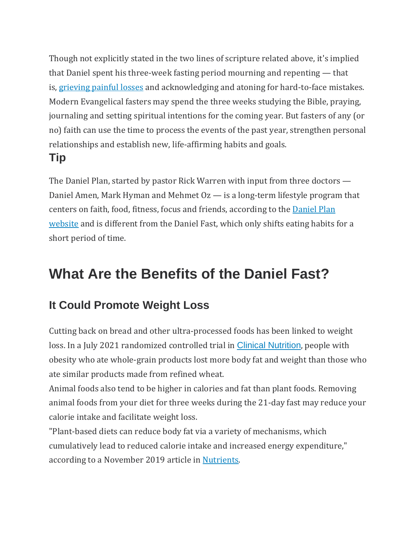Though not explicitly stated in the two lines of scripture related above, it's implied that Daniel spent his three-week fasting period mourning and repenting — that is, [grieving](https://www.livestrong.com/article/13768344-disenfranchised-grief/) painful losses and acknowledging and atoning for hard-to-face mistakes. Modern Evangelical fasters may spend the three weeks studying the Bible, praying, journaling and setting spiritual intentions for the coming year. But fasters of any (or no) faith can use the time to process the events of the past year, strengthen personal relationships and establish new, life-affirming habits and goals. **Tip**

The Daniel Plan, started by pastor Rick Warren with input from three doctors — Daniel Amen, Mark Hyman and Mehmet Oz — is a long-term lifestyle program that centers on faith, food, fitness, focus and friends, according to the [Daniel](https://www.danielplan.com/toolsandresources/faq/) Plan [website](https://www.danielplan.com/toolsandresources/faq/) and is different from the Daniel Fast, which only shifts eating habits for a short period of time.

# **What Are the Benefits of the Daniel Fast?**

### **It Could Promote Weight Loss**

Cutting back on bread and other ultra-processed foods has been linked to weight loss. In a July 2021 randomized controlled trial in Clinical [Nutrition](https://clinicalnutritionespen.com/article/S2405-4577(21)00258-8/fulltext), people with obesity who ate whole-grain products lost more body fat and weight than those who ate similar products made from refined wheat.

Animal foods also tend to be higher in calories and fat than plant foods. Removing animal foods from your diet for three weeks during the 21-day fast may reduce your calorie intake and facilitate weight loss.

"Plant-based diets can reduce body fat via a variety of mechanisms, which cumulatively lead to reduced calorie intake and increased energy expenditure," according to a November 2019 article in [Nutrients.](https://www.ncbi.nlm.nih.gov/pmc/articles/PMC6893503/)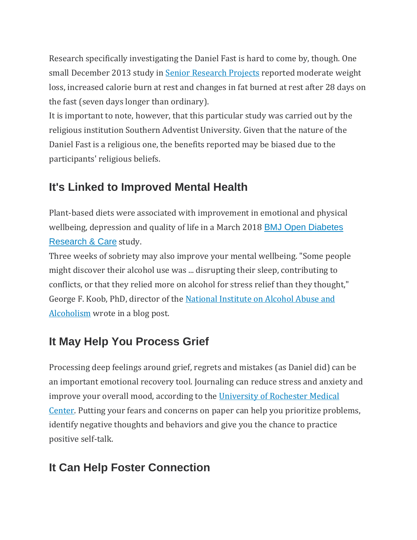Research specifically investigating the Daniel Fast is hard to come by, though. One small December 2013 study in Senior [Research](https://knowledge.e.southern.edu/senior_research/163/) Projects reported moderate weight loss, increased calorie burn at rest and changes in fat burned at rest after 28 days on the fast (seven days longer than ordinary).

It is important to note, however, that this particular study was carried out by the religious institution Southern Adventist University. Given that the nature of the Daniel Fast is a religious one, the benefits reported may be biased due to the participants' religious beliefs.

### **It's Linked to Improved Mental Health**

Plant-based diets were associated with improvement in emotional and physical wellbeing, depression and quality of life in a March 2018 BMJ Open [Diabetes](https://drc.bmj.com/content/6/1/e000534) [Research](https://drc.bmj.com/content/6/1/e000534) & Care study.

Three weeks of sobriety may also improve your mental wellbeing. "Some people might discover their alcohol use was ... disrupting their sleep, contributing to conflicts, or that they relied more on alcohol for stress relief than they thought," George F. Koob, PhD, director of the National [Institute](https://www.niaaa.nih.gov/directors-blog-taking-break-alcohol-can-be-good-your-health) on Alcohol Abuse and [Alcoholism](https://www.niaaa.nih.gov/directors-blog-taking-break-alcohol-can-be-good-your-health) wrote in a blog post.

### **It May Help You Process Grief**

Processing deep feelings around grief, regrets and mistakes (as Daniel did) can be an important emotional recovery tool. Journaling can reduce stress and anxiety and improve your overall mood, according to the [University](https://www.urmc.rochester.edu/encyclopedia/content.aspx?ContentID=4552&ContentTypeID=1) of Rochester Medical [Center.](https://www.urmc.rochester.edu/encyclopedia/content.aspx?ContentID=4552&ContentTypeID=1) Putting your fears and concerns on paper can help you prioritize problems, identify negative thoughts and behaviors and give you the chance to practice positive self-talk.

### **It Can Help Foster Connection**